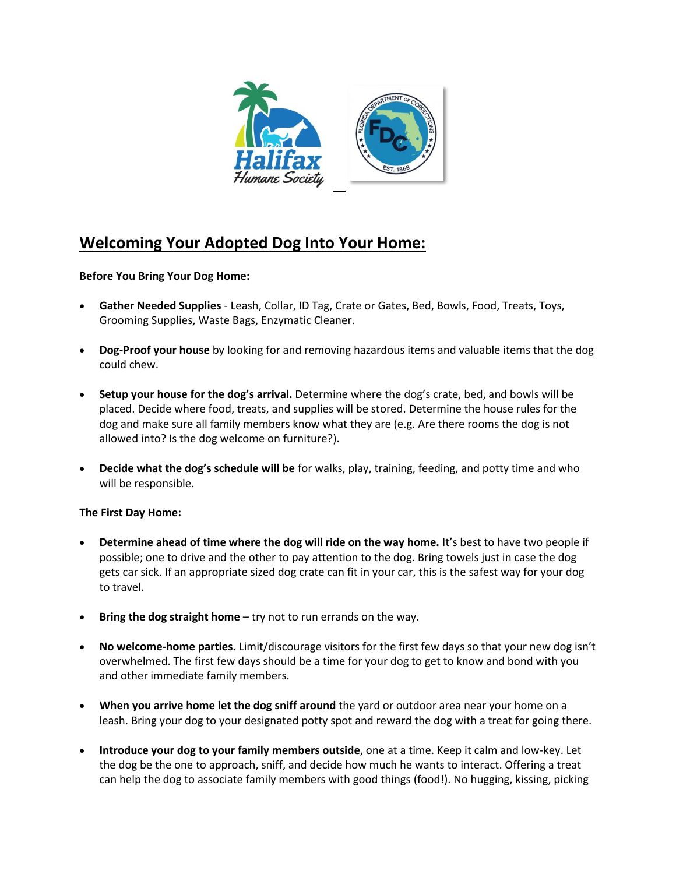

# **Welcoming Your Adopted Dog Into Your Home:**

### **Before You Bring Your Dog Home:**

- **Gather Needed Supplies** Leash, Collar, ID Tag, Crate or Gates, Bed, Bowls, Food, Treats, Toys, Grooming Supplies, Waste Bags, Enzymatic Cleaner.
- **Dog-Proof your house** by looking for and removing hazardous items and valuable items that the dog could chew.
- **Setup your house for the dog's arrival.** Determine where the dog's crate, bed, and bowls will be placed. Decide where food, treats, and supplies will be stored. Determine the house rules for the dog and make sure all family members know what they are (e.g. Are there rooms the dog is not allowed into? Is the dog welcome on furniture?).
- **Decide what the dog's schedule will be** for walks, play, training, feeding, and potty time and who will be responsible.

#### **The First Day Home:**

- **Determine ahead of time where the dog will ride on the way home.** It's best to have two people if possible; one to drive and the other to pay attention to the dog. Bring towels just in case the dog gets car sick. If an appropriate sized dog crate can fit in your car, this is the safest way for your dog to travel.
- **Bring the dog straight home** try not to run errands on the way.
- **No welcome-home parties.** Limit/discourage visitors for the first few days so that your new dog isn't overwhelmed. The first few days should be a time for your dog to get to know and bond with you and other immediate family members.
- **When you arrive home let the dog sniff around** the yard or outdoor area near your home on a leash. Bring your dog to your designated potty spot and reward the dog with a treat for going there.
- **Introduce your dog to your family members outside**, one at a time. Keep it calm and low-key. Let the dog be the one to approach, sniff, and decide how much he wants to interact. Offering a treat can help the dog to associate family members with good things (food!). No hugging, kissing, picking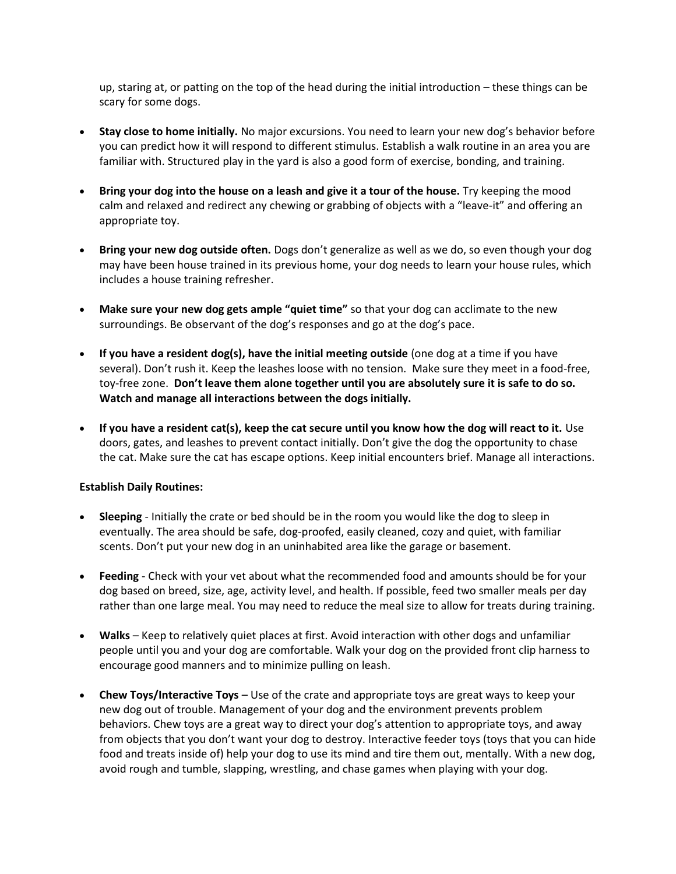up, staring at, or patting on the top of the head during the initial introduction – these things can be scary for some dogs.

- **Stay close to home initially.** No major excursions. You need to learn your new dog's behavior before you can predict how it will respond to different stimulus. Establish a walk routine in an area you are familiar with. Structured play in the yard is also a good form of exercise, bonding, and training.
- **Bring your dog into the house on a leash and give it a tour of the house.** Try keeping the mood calm and relaxed and redirect any chewing or grabbing of objects with a "leave-it" and offering an appropriate toy.
- **Bring your new dog outside often.** Dogs don't generalize as well as we do, so even though your dog may have been house trained in its previous home, your dog needs to learn your house rules, which includes a house training refresher.
- **Make sure your new dog gets ample "quiet time"** so that your dog can acclimate to the new surroundings. Be observant of the dog's responses and go at the dog's pace.
- **If you have a resident dog(s), have the initial meeting outside** (one dog at a time if you have several). Don't rush it. Keep the leashes loose with no tension. Make sure they meet in a food-free, toy-free zone. **Don't leave them alone together until you are absolutely sure it is safe to do so. Watch and manage all interactions between the dogs initially.**
- **If you have a resident cat(s), keep the cat secure until you know how the dog will react to it.** Use doors, gates, and leashes to prevent contact initially. Don't give the dog the opportunity to chase the cat. Make sure the cat has escape options. Keep initial encounters brief. Manage all interactions.

#### **Establish Daily Routines:**

- **Sleeping** Initially the crate or bed should be in the room you would like the dog to sleep in eventually. The area should be safe, dog-proofed, easily cleaned, cozy and quiet, with familiar scents. Don't put your new dog in an uninhabited area like the garage or basement.
- **Feeding** Check with your vet about what the recommended food and amounts should be for your dog based on breed, size, age, activity level, and health. If possible, feed two smaller meals per day rather than one large meal. You may need to reduce the meal size to allow for treats during training.
- **Walks** Keep to relatively quiet places at first. Avoid interaction with other dogs and unfamiliar people until you and your dog are comfortable. Walk your dog on the provided front clip harness to encourage good manners and to minimize pulling on leash.
- **Chew Toys/Interactive Toys** Use of the crate and appropriate toys are great ways to keep your new dog out of trouble. Management of your dog and the environment prevents problem behaviors. Chew toys are a great way to direct your dog's attention to appropriate toys, and away from objects that you don't want your dog to destroy. Interactive feeder toys (toys that you can hide food and treats inside of) help your dog to use its mind and tire them out, mentally. With a new dog, avoid rough and tumble, slapping, wrestling, and chase games when playing with your dog.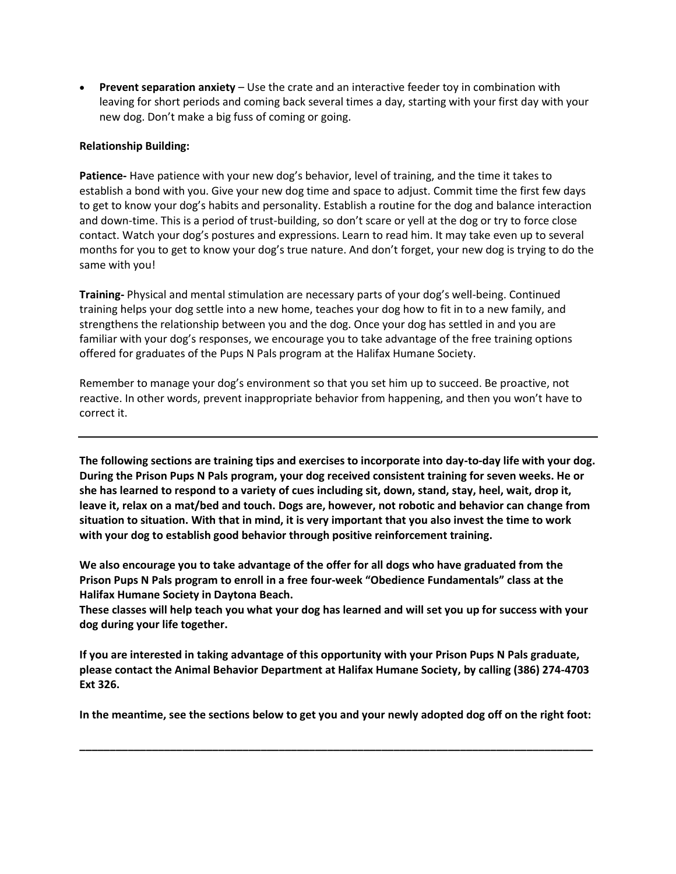• **Prevent separation anxiety** – Use the crate and an interactive feeder toy in combination with leaving for short periods and coming back several times a day, starting with your first day with your new dog. Don't make a big fuss of coming or going.

#### **Relationship Building:**

**Patience-** Have patience with your new dog's behavior, level of training, and the time it takes to establish a bond with you. Give your new dog time and space to adjust. Commit time the first few days to get to know your dog's habits and personality. Establish a routine for the dog and balance interaction and down-time. This is a period of trust-building, so don't scare or yell at the dog or try to force close contact. Watch your dog's postures and expressions. Learn to read him. It may take even up to several months for you to get to know your dog's true nature. And don't forget, your new dog is trying to do the same with you!

**Training-** Physical and mental stimulation are necessary parts of your dog's well-being. Continued training helps your dog settle into a new home, teaches your dog how to fit in to a new family, and strengthens the relationship between you and the dog. Once your dog has settled in and you are familiar with your dog's responses, we encourage you to take advantage of the free training options offered for graduates of the Pups N Pals program at the Halifax Humane Society.

Remember to manage your dog's environment so that you set him up to succeed. Be proactive, not reactive. In other words, prevent inappropriate behavior from happening, and then you won't have to correct it.

**The following sections are training tips and exercises to incorporate into day-to-day life with your dog. During the Prison Pups N Pals program, your dog received consistent training for seven weeks. He or she has learned to respond to a variety of cues including sit, down, stand, stay, heel, wait, drop it, leave it, relax on a mat/bed and touch. Dogs are, however, not robotic and behavior can change from situation to situation. With that in mind, it is very important that you also invest the time to work with your dog to establish good behavior through positive reinforcement training.**

**We also encourage you to take advantage of the offer for all dogs who have graduated from the Prison Pups N Pals program to enroll in a free four-week "Obedience Fundamentals" class at the Halifax Humane Society in Daytona Beach.**

**These classes will help teach you what your dog has learned and will set you up for success with your dog during your life together.**

**If you are interested in taking advantage of this opportunity with your Prison Pups N Pals graduate, please contact the Animal Behavior Department at Halifax Humane Society, by calling (386) 274-4703 Ext 326.**

**In the meantime, see the sections below to get you and your newly adopted dog off on the right foot:**

**\_\_\_\_\_\_\_\_\_\_\_\_\_\_\_\_\_\_\_\_\_\_\_\_\_\_\_\_\_\_\_\_\_\_\_\_\_\_\_\_\_\_\_\_\_\_\_\_\_\_\_\_\_\_\_\_\_\_\_\_\_\_\_\_\_\_\_\_\_\_\_\_\_\_\_\_\_\_\_\_\_\_\_\_\_**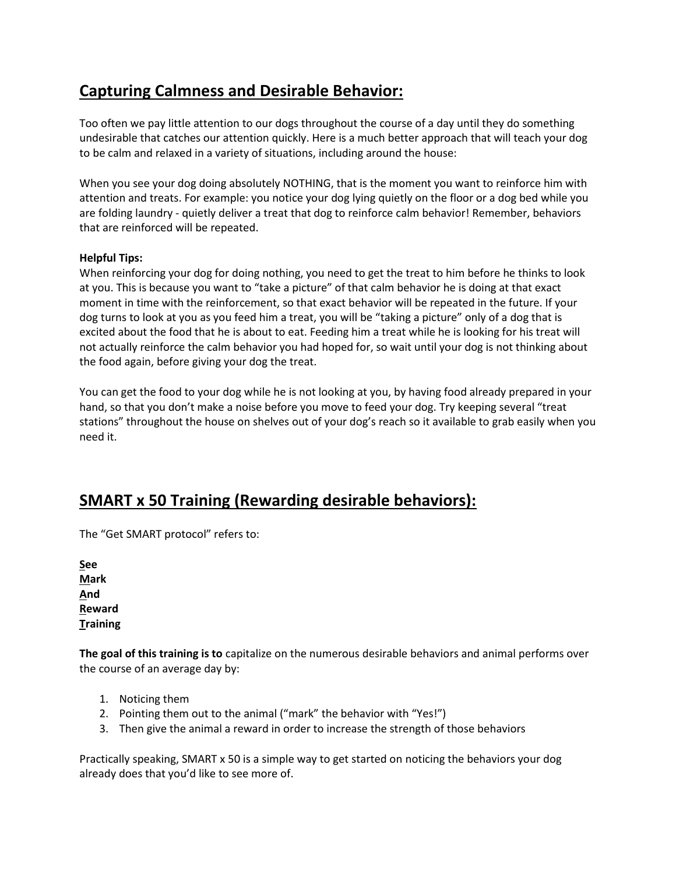# **Capturing Calmness and Desirable Behavior:**

Too often we pay little attention to our dogs throughout the course of a day until they do something undesirable that catches our attention quickly. Here is a much better approach that will teach your dog to be calm and relaxed in a variety of situations, including around the house:

When you see your dog doing absolutely NOTHING, that is the moment you want to reinforce him with attention and treats. For example: you notice your dog lying quietly on the floor or a dog bed while you are folding laundry - quietly deliver a treat that dog to reinforce calm behavior! Remember, behaviors that are reinforced will be repeated.

### **Helpful Tips:**

When reinforcing your dog for doing nothing, you need to get the treat to him before he thinks to look at you. This is because you want to "take a picture" of that calm behavior he is doing at that exact moment in time with the reinforcement, so that exact behavior will be repeated in the future. If your dog turns to look at you as you feed him a treat, you will be "taking a picture" only of a dog that is excited about the food that he is about to eat. Feeding him a treat while he is looking for his treat will not actually reinforce the calm behavior you had hoped for, so wait until your dog is not thinking about the food again, before giving your dog the treat.

You can get the food to your dog while he is not looking at you, by having food already prepared in your hand, so that you don't make a noise before you move to feed your dog. Try keeping several "treat stations" throughout the house on shelves out of your dog's reach so it available to grab easily when you need it.

## **SMART x 50 Training (Rewarding desirable behaviors):**

The "Get SMART protocol" refers to:

**See Mark And Reward Training**

**The goal of this training is to** capitalize on the numerous desirable behaviors and animal performs over the course of an average day by:

- 1. Noticing them
- 2. Pointing them out to the animal ("mark" the behavior with "Yes!")
- 3. Then give the animal a reward in order to increase the strength of those behaviors

Practically speaking, SMART x 50 is a simple way to get started on noticing the behaviors your dog already does that you'd like to see more of.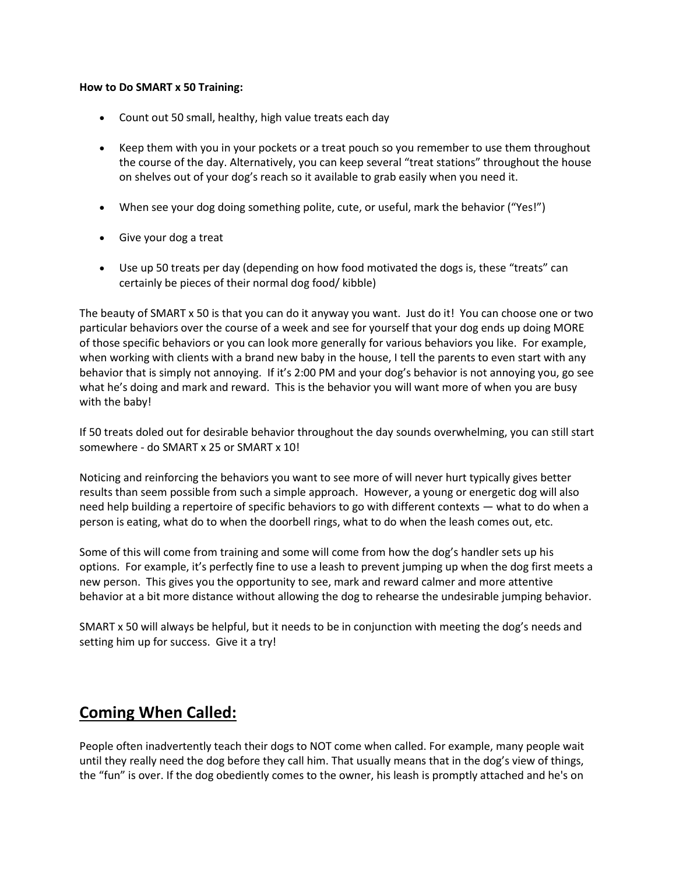#### **How to Do SMART x 50 Training:**

- Count out 50 small, healthy, high value treats each day
- Keep them with you in your pockets or a treat pouch so you remember to use them throughout the course of the day. Alternatively, you can keep several "treat stations" throughout the house on shelves out of your dog's reach so it available to grab easily when you need it.
- When see your dog doing something polite, cute, or useful, mark the behavior ("Yes!")
- Give your dog a treat
- Use up 50 treats per day (depending on how food motivated the dogs is, these "treats" can certainly be pieces of their normal dog food/ kibble)

The beauty of SMART x 50 is that you can do it anyway you want. Just do it! You can choose one or two particular behaviors over the course of a week and see for yourself that your dog ends up doing MORE of those specific behaviors or you can look more generally for various behaviors you like. For example, when working with clients with a brand new baby in the house, I tell the parents to even start with any behavior that is simply not annoying. If it's 2:00 PM and your dog's behavior is not annoying you, go see what he's doing and mark and reward. This is the behavior you will want more of when you are busy with the baby!

If 50 treats doled out for desirable behavior throughout the day sounds overwhelming, you can still start somewhere - do SMART x 25 or SMART x 10!

Noticing and reinforcing the behaviors you want to see more of will never hurt typically gives better results than seem possible from such a simple approach. However, a young or energetic dog will also need help building a repertoire of specific behaviors to go with different contexts — what to do when a person is eating, what do to when the doorbell rings, what to do when the leash comes out, etc.

Some of this will come from training and some will come from how the dog's handler sets up his options. For example, it's perfectly fine to use a leash to prevent jumping up when the dog first meets a new person. This gives you the opportunity to see, mark and reward calmer and more attentive behavior at a bit more distance without allowing the dog to rehearse the undesirable jumping behavior.

SMART x 50 will always be helpful, but it needs to be in conjunction with meeting the dog's needs and setting him up for success. Give it a try!

## **Coming When Called:**

People often inadvertently teach their dogs to NOT come when called. For example, many people wait until they really need the dog before they call him. That usually means that in the dog's view of things, the "fun" is over. If the dog obediently comes to the owner, his leash is promptly attached and he's on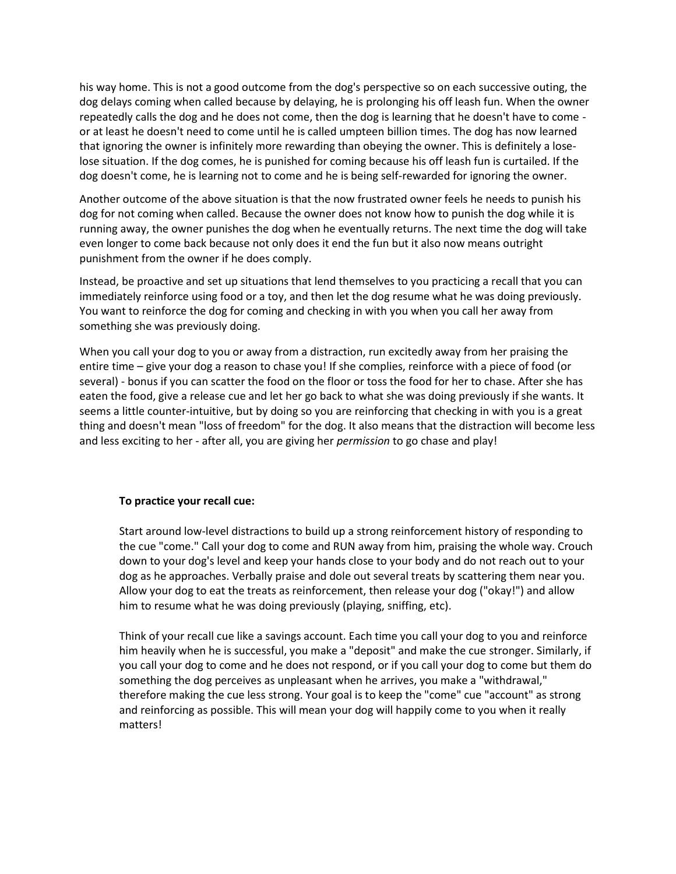his way home. This is not a good outcome from the dog's perspective so on each successive outing, the dog delays coming when called because by delaying, he is prolonging his off leash fun. When the owner repeatedly calls the dog and he does not come, then the dog is learning that he doesn't have to come or at least he doesn't need to come until he is called umpteen billion times. The dog has now learned that ignoring the owner is infinitely more rewarding than obeying the owner. This is definitely a loselose situation. If the dog comes, he is punished for coming because his off leash fun is curtailed. If the dog doesn't come, he is learning not to come and he is being self-rewarded for ignoring the owner.

Another outcome of the above situation is that the now frustrated owner feels he needs to punish his dog for not coming when called. Because the owner does not know how to punish the dog while it is running away, the owner punishes the dog when he eventually returns. The next time the dog will take even longer to come back because not only does it end the fun but it also now means outright punishment from the owner if he does comply.

Instead, be proactive and set up situations that lend themselves to you practicing a recall that you can immediately reinforce using food or a toy, and then let the dog resume what he was doing previously. You want to reinforce the dog for coming and checking in with you when you call her away from something she was previously doing.

When you call your dog to you or away from a distraction, run excitedly away from her praising the entire time – give your dog a reason to chase you! If she complies, reinforce with a piece of food (or several) - bonus if you can scatter the food on the floor or toss the food for her to chase. After she has eaten the food, give a release cue and let her go back to what she was doing previously if she wants. It seems a little counter-intuitive, but by doing so you are reinforcing that checking in with you is a great thing and doesn't mean "loss of freedom" for the dog. It also means that the distraction will become less and less exciting to her - after all, you are giving her *permission* to go chase and play!

#### **To practice your recall cue:**

Start around low-level distractions to build up a strong reinforcement history of responding to the cue "come." Call your dog to come and RUN away from him, praising the whole way. Crouch down to your dog's level and keep your hands close to your body and do not reach out to your dog as he approaches. Verbally praise and dole out several treats by scattering them near you. Allow your dog to eat the treats as reinforcement, then release your dog ("okay!") and allow him to resume what he was doing previously (playing, sniffing, etc).

Think of your recall cue like a savings account. Each time you call your dog to you and reinforce him heavily when he is successful, you make a "deposit" and make the cue stronger. Similarly, if you call your dog to come and he does not respond, or if you call your dog to come but them do something the dog perceives as unpleasant when he arrives, you make a "withdrawal," therefore making the cue less strong. Your goal is to keep the "come" cue "account" as strong and reinforcing as possible. This will mean your dog will happily come to you when it really matters!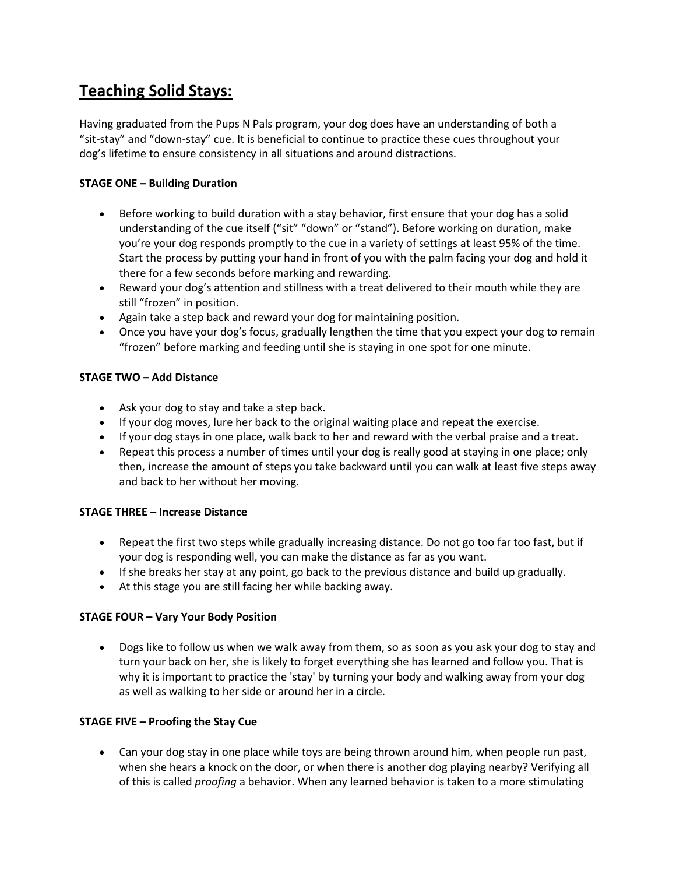## **Teaching Solid Stays:**

Having graduated from the Pups N Pals program, your dog does have an understanding of both a "sit-stay" and "down-stay" cue. It is beneficial to continue to practice these cues throughout your dog's lifetime to ensure consistency in all situations and around distractions.

### **STAGE ONE – Building Duration**

- Before working to build duration with a stay behavior, first ensure that your dog has a solid understanding of the cue itself ("sit" "down" or "stand"). Before working on duration, make you're your dog responds promptly to the cue in a variety of settings at least 95% of the time. Start the process by putting your hand in front of you with the palm facing your dog and hold it there for a few seconds before marking and rewarding.
- Reward your dog's attention and stillness with a treat delivered to their mouth while they are still "frozen" in position.
- Again take a step back and reward your dog for maintaining position.
- Once you have your dog's focus, gradually lengthen the time that you expect your dog to remain "frozen" before marking and feeding until she is staying in one spot for one minute.

### **STAGE TWO – Add Distance**

- Ask your dog to stay and take a step back.
- If your dog moves, lure her back to the original waiting place and repeat the exercise.
- If your dog stays in one place, walk back to her and reward with the verbal praise and a treat.
- Repeat this process a number of times until your dog is really good at staying in one place; only then, increase the amount of steps you take backward until you can walk at least five steps away and back to her without her moving.

### **STAGE THREE – Increase Distance**

- Repeat the first two steps while gradually increasing distance. Do not go too far too fast, but if your dog is responding well, you can make the distance as far as you want.
- If she breaks her stay at any point, go back to the previous distance and build up gradually.
- At this stage you are still facing her while backing away.

### **STAGE FOUR – Vary Your Body Position**

• Dogs like to follow us when we walk away from them, so as soon as you ask your dog to stay and turn your back on her, she is likely to forget everything she has learned and follow you. That is why it is important to practice the 'stay' by turning your body and walking away from your dog as well as walking to her side or around her in a circle.

### **STAGE FIVE – Proofing the Stay Cue**

• Can your dog stay in one place while toys are being thrown around him, when people run past, when she hears a knock on the door, or when there is another dog playing nearby? Verifying all of this is called *proofing* a behavior. When any learned behavior is taken to a more stimulating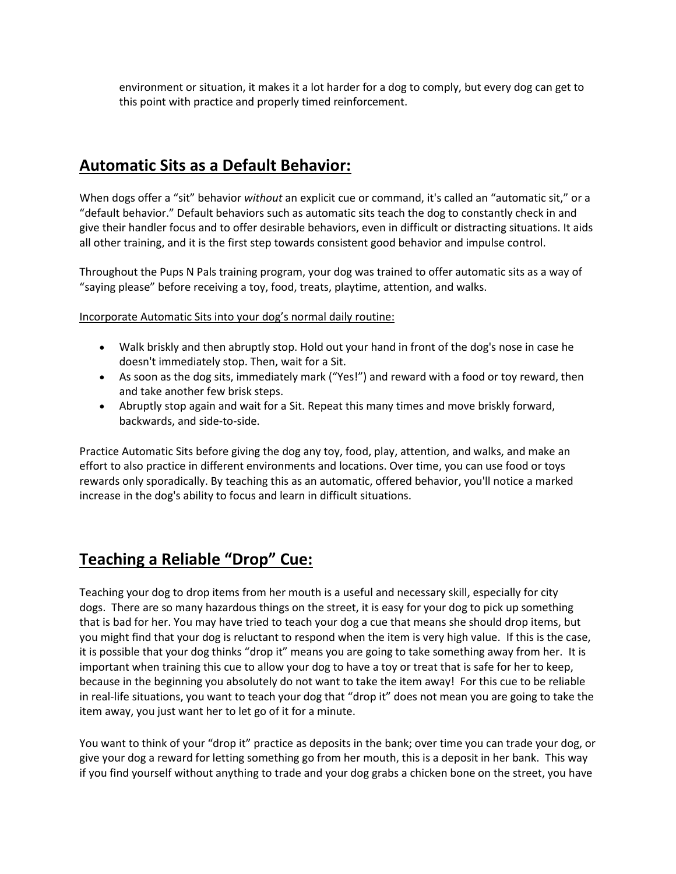environment or situation, it makes it a lot harder for a dog to comply, but every dog can get to this point with practice and properly timed reinforcement.

## **Automatic Sits as a Default Behavior:**

When dogs offer a "sit" behavior *without* an explicit cue or command, it's called an "automatic sit," or a "default behavior." Default behaviors such as automatic sits teach the dog to constantly check in and give their handler focus and to offer desirable behaviors, even in difficult or distracting situations. It aids all other training, and it is the first step towards consistent good behavior and impulse control.

Throughout the Pups N Pals training program, your dog was trained to offer automatic sits as a way of "saying please" before receiving a toy, food, treats, playtime, attention, and walks.

Incorporate Automatic Sits into your dog's normal daily routine:

- Walk briskly and then abruptly stop. Hold out your hand in front of the dog's nose in case he doesn't immediately stop. Then, wait for a Sit.
- As soon as the dog sits, immediately mark ("Yes!") and reward with a food or toy reward, then and take another few brisk steps.
- Abruptly stop again and wait for a Sit. Repeat this many times and move briskly forward, backwards, and side-to-side.

Practice Automatic Sits before giving the dog any toy, food, play, attention, and walks, and make an effort to also practice in different environments and locations. Over time, you can use food or toys rewards only sporadically. By teaching this as an automatic, offered behavior, you'll notice a marked increase in the dog's ability to focus and learn in difficult situations.

## **Teaching a Reliable "Drop" Cue:**

Teaching your dog to drop items from her mouth is a useful and necessary skill, especially for city dogs. There are so many hazardous things on the street, it is easy for your dog to pick up something that is bad for her. You may have tried to teach your dog a cue that means she should drop items, but you might find that your dog is reluctant to respond when the item is very high value. If this is the case, it is possible that your dog thinks "drop it" means you are going to take something away from her. It is important when training this cue to allow your dog to have a toy or treat that is safe for her to keep, because in the beginning you absolutely do not want to take the item away! For this cue to be reliable in real-life situations, you want to teach your dog that "drop it" does not mean you are going to take the item away, you just want her to let go of it for a minute.

You want to think of your "drop it" practice as deposits in the bank; over time you can trade your dog, or give your dog a reward for letting something go from her mouth, this is a deposit in her bank. This way if you find yourself without anything to trade and your dog grabs a chicken bone on the street, you have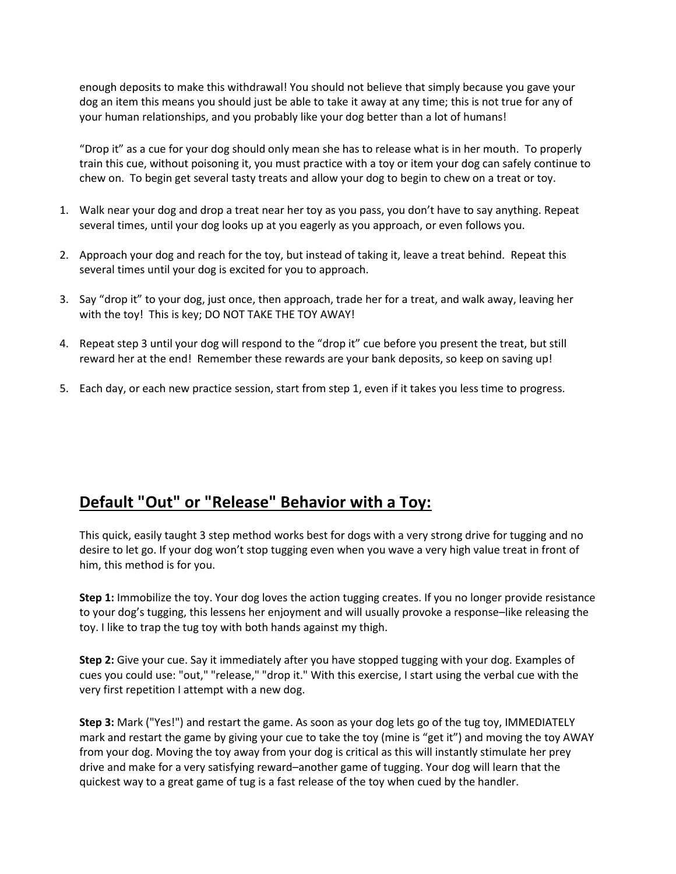enough deposits to make this withdrawal! You should not believe that simply because you gave your dog an item this means you should just be able to take it away at any time; this is not true for any of your human relationships, and you probably like your dog better than a lot of humans!

"Drop it" as a cue for your dog should only mean she has to release what is in her mouth. To properly train this cue, without poisoning it, you must practice with a toy or item your dog can safely continue to chew on. To begin get several tasty treats and allow your dog to begin to chew on a treat or toy.

- 1. Walk near your dog and drop a treat near her toy as you pass, you don't have to say anything. Repeat several times, until your dog looks up at you eagerly as you approach, or even follows you.
- 2. Approach your dog and reach for the toy, but instead of taking it, leave a treat behind. Repeat this several times until your dog is excited for you to approach.
- 3. Say "drop it" to your dog, just once, then approach, trade her for a treat, and walk away, leaving her with the toy! This is key; DO NOT TAKE THE TOY AWAY!
- 4. Repeat step 3 until your dog will respond to the "drop it" cue before you present the treat, but still reward her at the end! Remember these rewards are your bank deposits, so keep on saving up!
- 5. Each day, or each new practice session, start from step 1, even if it takes you less time to progress.

# **Default "Out" or "Release" Behavior with a Toy:**

This quick, easily taught 3 step method works best for dogs with a very strong drive for tugging and no desire to let go. If your dog won't stop tugging even when you wave a very high value treat in front of him, this method is for you.

**Step 1:** Immobilize the toy. Your dog loves the action tugging creates. If you no longer provide resistance to your dog's tugging, this lessens her enjoyment and will usually provoke a response–like releasing the toy. I like to trap the tug toy with both hands against my thigh.

**Step 2:** Give your cue. Say it immediately after you have stopped tugging with your dog. Examples of cues you could use: "out," "release," "drop it." With this exercise, I start using the verbal cue with the very first repetition I attempt with a new dog.

**Step 3:** Mark ("Yes!") and restart the game. As soon as your dog lets go of the tug toy, IMMEDIATELY mark and restart the game by giving your cue to take the toy (mine is "get it") and moving the toy AWAY from your dog. Moving the toy away from your dog is critical as this will instantly stimulate her prey drive and make for a very satisfying reward–another game of tugging. Your dog will learn that the quickest way to a great game of tug is a fast release of the toy when cued by the handler.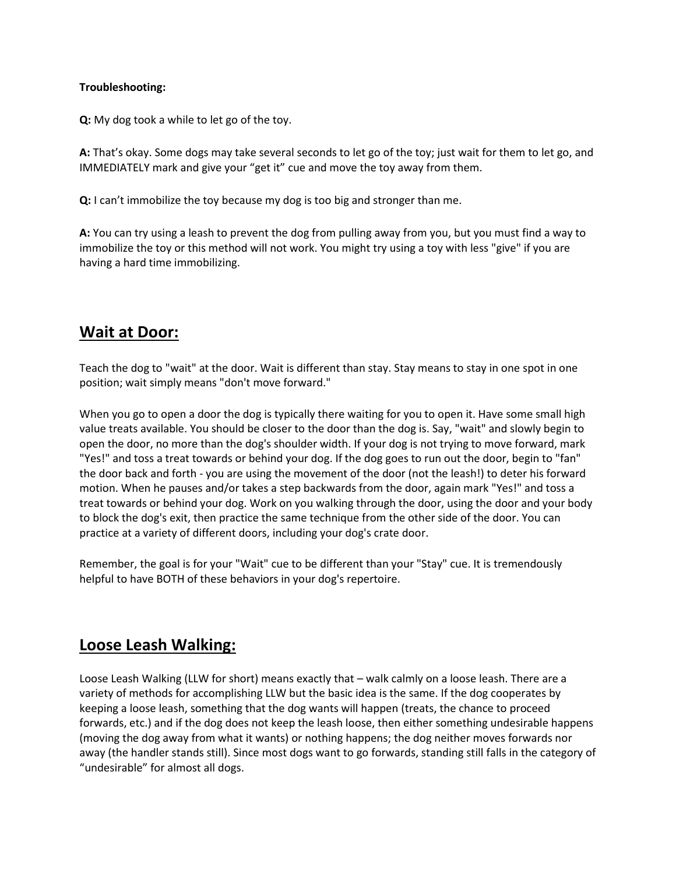#### **Troubleshooting:**

**Q:** My dog took a while to let go of the toy.

**A:** That's okay. Some dogs may take several seconds to let go of the toy; just wait for them to let go, and IMMEDIATELY mark and give your "get it" cue and move the toy away from them.

**Q:** I can't immobilize the toy because my dog is too big and stronger than me.

**A:** You can try using a leash to prevent the dog from pulling away from you, but you must find a way to immobilize the toy or this method will not work. You might try using a toy with less "give" if you are having a hard time immobilizing.

## **Wait at Door:**

Teach the dog to "wait" at the door. Wait is different than stay. Stay means to stay in one spot in one position; wait simply means "don't move forward."

When you go to open a door the dog is typically there waiting for you to open it. Have some small high value treats available. You should be closer to the door than the dog is. Say, "wait" and slowly begin to open the door, no more than the dog's shoulder width. If your dog is not trying to move forward, mark "Yes!" and toss a treat towards or behind your dog. If the dog goes to run out the door, begin to "fan" the door back and forth - you are using the movement of the door (not the leash!) to deter his forward motion. When he pauses and/or takes a step backwards from the door, again mark "Yes!" and toss a treat towards or behind your dog. Work on you walking through the door, using the door and your body to block the dog's exit, then practice the same technique from the other side of the door. You can practice at a variety of different doors, including your dog's crate door.

Remember, the goal is for your "Wait" cue to be different than your "Stay" cue. It is tremendously helpful to have BOTH of these behaviors in your dog's repertoire.

## **Loose Leash Walking:**

Loose Leash Walking (LLW for short) means exactly that – walk calmly on a loose leash. There are a variety of methods for accomplishing LLW but the basic idea is the same. If the dog cooperates by keeping a loose leash, something that the dog wants will happen (treats, the chance to proceed forwards, etc.) and if the dog does not keep the leash loose, then either something undesirable happens (moving the dog away from what it wants) or nothing happens; the dog neither moves forwards nor away (the handler stands still). Since most dogs want to go forwards, standing still falls in the category of "undesirable" for almost all dogs.